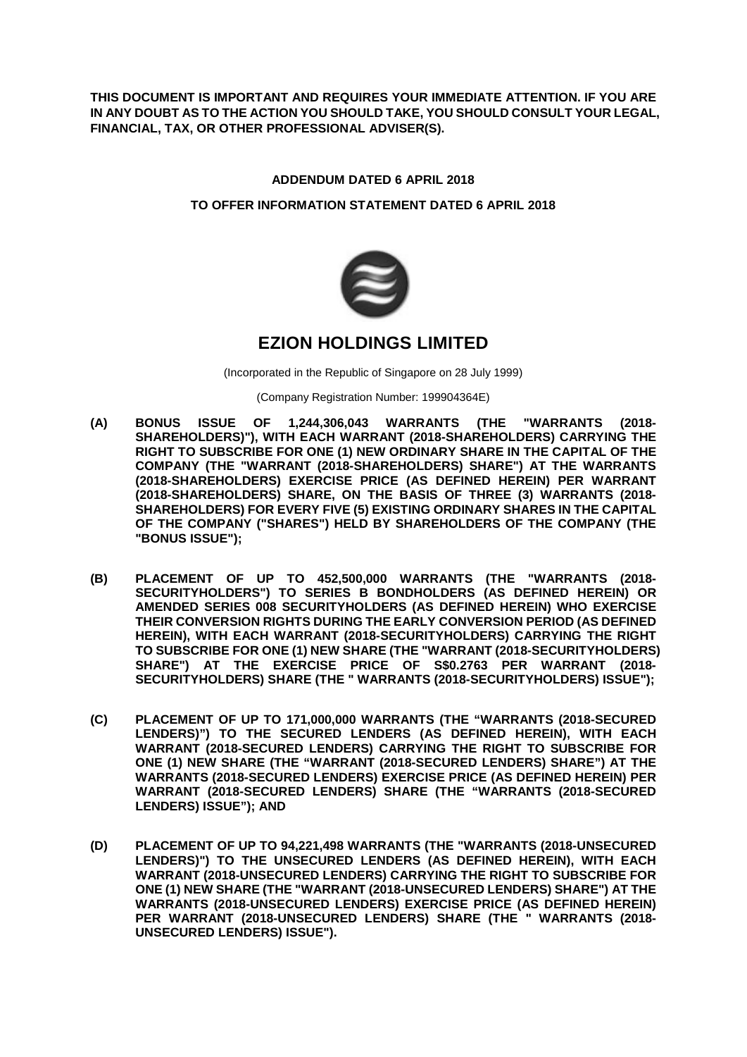**THIS DOCUMENT IS IMPORTANT AND REQUIRES YOUR IMMEDIATE ATTENTION. IF YOU ARE IN ANY DOUBT AS TO THE ACTION YOU SHOULD TAKE, YOU SHOULD CONSULT YOUR LEGAL, FINANCIAL, TAX, OR OTHER PROFESSIONAL ADVISER(S).** 

## **ADDENDUM DATED 6 APRIL 2018**

### **TO OFFER INFORMATION STATEMENT DATED 6 APRIL 2018**



# **EZION HOLDINGS LIMITED**

(Incorporated in the Republic of Singapore on 28 July 1999)

(Company Registration Number: 199904364E)

- **(A) BONUS ISSUE OF 1,244,306,043 WARRANTS (THE "WARRANTS (2018- SHAREHOLDERS)"), WITH EACH WARRANT (2018-SHAREHOLDERS) CARRYING THE RIGHT TO SUBSCRIBE FOR ONE (1) NEW ORDINARY SHARE IN THE CAPITAL OF THE COMPANY (THE "WARRANT (2018-SHAREHOLDERS) SHARE") AT THE WARRANTS (2018-SHAREHOLDERS) EXERCISE PRICE (AS DEFINED HEREIN) PER WARRANT (2018-SHAREHOLDERS) SHARE, ON THE BASIS OF THREE (3) WARRANTS (2018- SHAREHOLDERS) FOR EVERY FIVE (5) EXISTING ORDINARY SHARES IN THE CAPITAL OF THE COMPANY ("SHARES") HELD BY SHAREHOLDERS OF THE COMPANY (THE "BONUS ISSUE");**
- **(B) PLACEMENT OF UP TO 452,500,000 WARRANTS (THE "WARRANTS (2018- SECURITYHOLDERS") TO SERIES B BONDHOLDERS (AS DEFINED HEREIN) OR AMENDED SERIES 008 SECURITYHOLDERS (AS DEFINED HEREIN) WHO EXERCISE THEIR CONVERSION RIGHTS DURING THE EARLY CONVERSION PERIOD (AS DEFINED HEREIN), WITH EACH WARRANT (2018-SECURITYHOLDERS) CARRYING THE RIGHT TO SUBSCRIBE FOR ONE (1) NEW SHARE (THE "WARRANT (2018-SECURITYHOLDERS) SHARE") AT THE EXERCISE PRICE OF S\$0.2763 PER WARRANT (2018- SECURITYHOLDERS) SHARE (THE " WARRANTS (2018-SECURITYHOLDERS) ISSUE");**
- **(C) PLACEMENT OF UP TO 171,000,000 WARRANTS (THE "WARRANTS (2018-SECURED LENDERS)") TO THE SECURED LENDERS (AS DEFINED HEREIN), WITH EACH WARRANT (2018-SECURED LENDERS) CARRYING THE RIGHT TO SUBSCRIBE FOR ONE (1) NEW SHARE (THE "WARRANT (2018-SECURED LENDERS) SHARE") AT THE WARRANTS (2018-SECURED LENDERS) EXERCISE PRICE (AS DEFINED HEREIN) PER WARRANT (2018-SECURED LENDERS) SHARE (THE "WARRANTS (2018-SECURED LENDERS) ISSUE"); AND**
- **(D) PLACEMENT OF UP TO 94,221,498 WARRANTS (THE "WARRANTS (2018-UNSECURED LENDERS)") TO THE UNSECURED LENDERS (AS DEFINED HEREIN), WITH EACH WARRANT (2018-UNSECURED LENDERS) CARRYING THE RIGHT TO SUBSCRIBE FOR ONE (1) NEW SHARE (THE "WARRANT (2018-UNSECURED LENDERS) SHARE") AT THE WARRANTS (2018-UNSECURED LENDERS) EXERCISE PRICE (AS DEFINED HEREIN) PER WARRANT (2018-UNSECURED LENDERS) SHARE (THE " WARRANTS (2018- UNSECURED LENDERS) ISSUE").**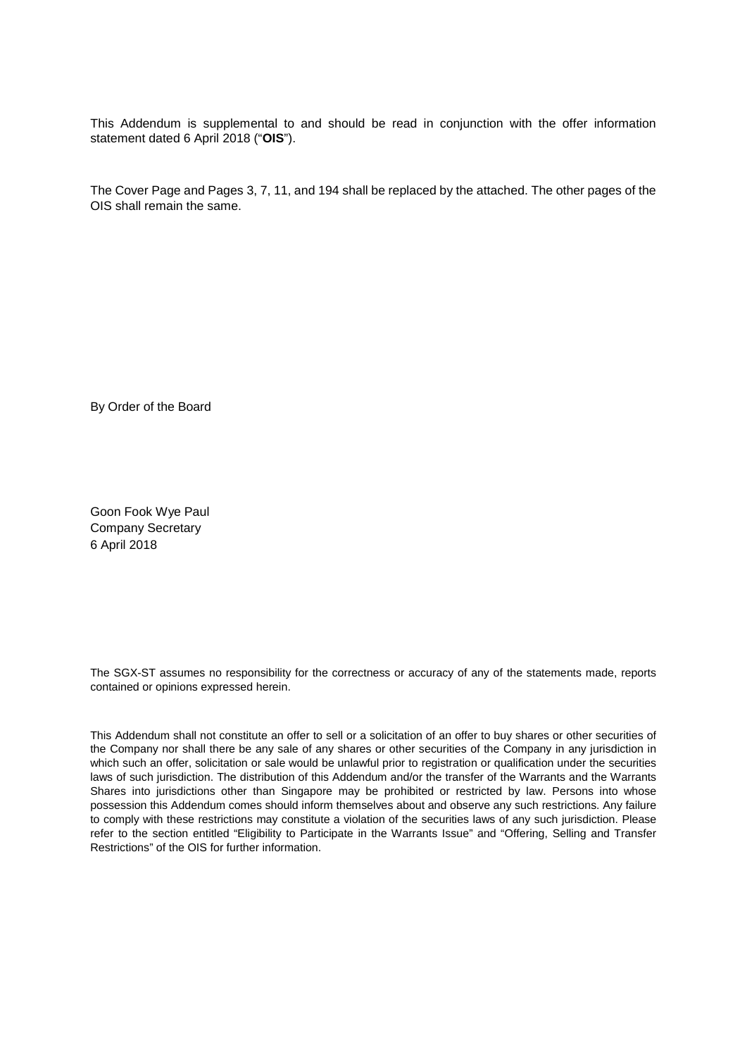This Addendum is supplemental to and should be read in conjunction with the offer information statement dated 6 April 2018 ("**OIS**").

The Cover Page and Pages 3, 7, 11, and 194 shall be replaced by the attached. The other pages of the OIS shall remain the same.

By Order of the Board

Goon Fook Wye Paul Company Secretary 6 April 2018

The SGX-ST assumes no responsibility for the correctness or accuracy of any of the statements made, reports contained or opinions expressed herein.

This Addendum shall not constitute an offer to sell or a solicitation of an offer to buy shares or other securities of the Company nor shall there be any sale of any shares or other securities of the Company in any jurisdiction in which such an offer, solicitation or sale would be unlawful prior to registration or qualification under the securities laws of such jurisdiction. The distribution of this Addendum and/or the transfer of the Warrants and the Warrants Shares into jurisdictions other than Singapore may be prohibited or restricted by law. Persons into whose possession this Addendum comes should inform themselves about and observe any such restrictions. Any failure to comply with these restrictions may constitute a violation of the securities laws of any such jurisdiction. Please refer to the section entitled "Eligibility to Participate in the Warrants Issue" and "Offering, Selling and Transfer Restrictions" of the OIS for further information.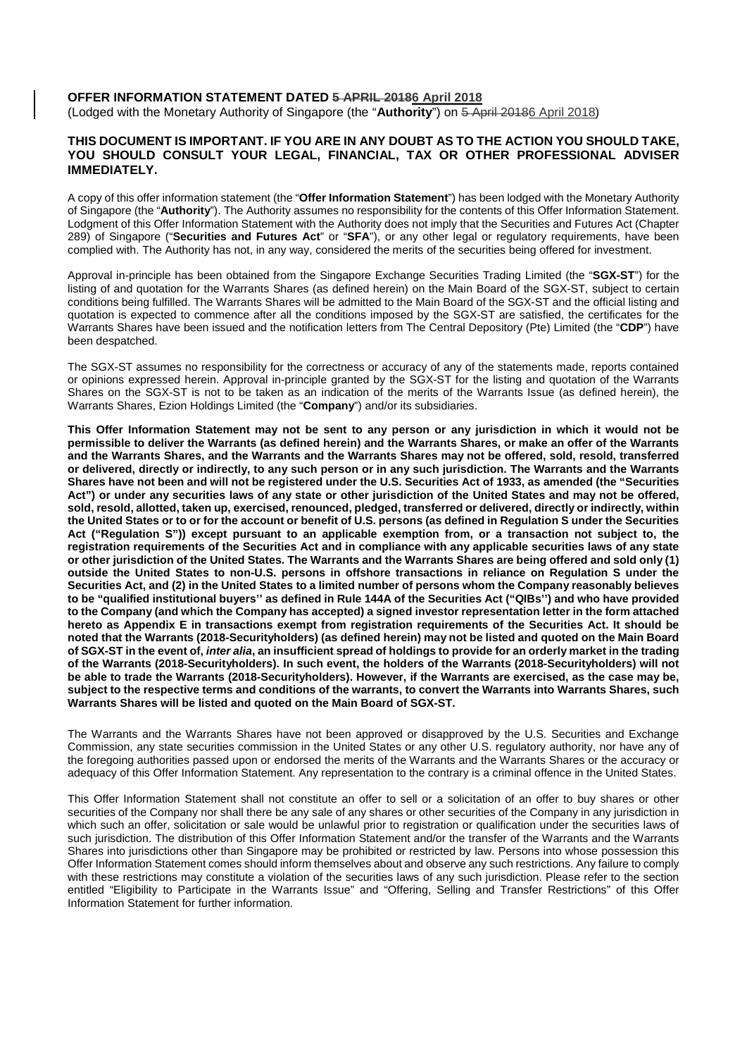#### **OFFER INFORMATION STATEMENT DATED 5 APRIL 20186 April 2018**

(Lodged with the Monetary Authority of Singapore (the "Authority") on 5 April 20186 April 2018)

#### **THIS DOCUMENT IS IMPORTANT. IF YOU ARE IN ANY DOUBT AS TO THE ACTION YOU SHOULD TAKE, YOU SHOULD CONSULT YOUR LEGAL, FINANCIAL, TAX OR OTHER PROFESSIONAL ADVISER IMMEDIATELY.**

A copy of this offer information statement (the "**Offer Information Statement**") has been lodged with the Monetary Authority of Singapore (the "**Authority**"). The Authority assumes no responsibility for the contents of this Offer Information Statement. Lodgment of this Offer Information Statement with the Authority does not imply that the Securities and Futures Act (Chapter 289) of Singapore ("**Securities and Futures Act**" or "**SFA**"), or any other legal or regulatory requirements, have been complied with. The Authority has not, in any way, considered the merits of the securities being offered for investment.

Approval in-principle has been obtained from the Singapore Exchange Securities Trading Limited (the "**SGX-ST**") for the listing of and quotation for the Warrants Shares (as defined herein) on the Main Board of the SGX-ST, subject to certain conditions being fulfilled. The Warrants Shares will be admitted to the Main Board of the SGX-ST and the official listing and quotation is expected to commence after all the conditions imposed by the SGX-ST are satisfied, the certificates for the Warrants Shares have been issued and the notification letters from The Central Depository (Pte) Limited (the "**CDP**") have been despatched.

The SGX-ST assumes no responsibility for the correctness or accuracy of any of the statements made, reports contained or opinions expressed herein. Approval in-principle granted by the SGX-ST for the listing and quotation of the Warrants Shares on the SGX-ST is not to be taken as an indication of the merits of the Warrants Issue (as defined herein), the Warrants Shares, Ezion Holdings Limited (the "**Company**") and/or its subsidiaries.

**This Offer Information Statement may not be sent to any person or any jurisdiction in which it would not be permissible to deliver the Warrants (as defined herein) and the Warrants Shares, or make an offer of the Warrants and the Warrants Shares, and the Warrants and the Warrants Shares may not be offered, sold, resold, transferred or delivered, directly or indirectly, to any such person or in any such jurisdiction. The Warrants and the Warrants Shares have not been and will not be registered under the U.S. Securities Act of 1933, as amended (the "Securities Act") or under any securities laws of any state or other jurisdiction of the United States and may not be offered, sold, resold, allotted, taken up, exercised, renounced, pledged, transferred or delivered, directly or indirectly, within the United States or to or for the account or benefit of U.S. persons (as defined in Regulation S under the Securities Act ("Regulation S")) except pursuant to an applicable exemption from, or a transaction not subject to, the registration requirements of the Securities Act and in compliance with any applicable securities laws of any state or other jurisdiction of the United States. The Warrants and the Warrants Shares are being offered and sold only (1) outside the United States to non-U.S. persons in offshore transactions in reliance on Regulation S under the Securities Act, and (2) in the United States to a limited number of persons whom the Company reasonably believes to be "qualified institutional buyers'' as defined in Rule 144A of the Securities Act ("QIBs'') and who have provided to the Company (and which the Company has accepted) a signed investor representation letter in the form attached hereto as Appendix E in transactions exempt from registration requirements of the Securities Act. It should be noted that the Warrants (2018-Securityholders) (as defined herein) may not be listed and quoted on the Main Board of SGX-ST in the event of,** *inter alia***, an insufficient spread of holdings to provide for an orderly market in the trading of the Warrants (2018-Securityholders). In such event, the holders of the Warrants (2018-Securityholders) will not be able to trade the Warrants (2018-Securityholders). However, if the Warrants are exercised, as the case may be, subject to the respective terms and conditions of the warrants, to convert the Warrants into Warrants Shares, such Warrants Shares will be listed and quoted on the Main Board of SGX-ST.** 

The Warrants and the Warrants Shares have not been approved or disapproved by the U.S. Securities and Exchange Commission, any state securities commission in the United States or any other U.S. regulatory authority, nor have any of the foregoing authorities passed upon or endorsed the merits of the Warrants and the Warrants Shares or the accuracy or adequacy of this Offer Information Statement. Any representation to the contrary is a criminal offence in the United States.

This Offer Information Statement shall not constitute an offer to sell or a solicitation of an offer to buy shares or other securities of the Company nor shall there be any sale of any shares or other securities of the Company in any jurisdiction in which such an offer, solicitation or sale would be unlawful prior to registration or qualification under the securities laws of such jurisdiction. The distribution of this Offer Information Statement and/or the transfer of the Warrants and the Warrants Shares into jurisdictions other than Singapore may be prohibited or restricted by law. Persons into whose possession this Offer Information Statement comes should inform themselves about and observe any such restrictions. Any failure to comply with these restrictions may constitute a violation of the securities laws of any such jurisdiction. Please refer to the section entitled "Eligibility to Participate in the Warrants Issue" and "Offering, Selling and Transfer Restrictions" of this Offer Information Statement for further information.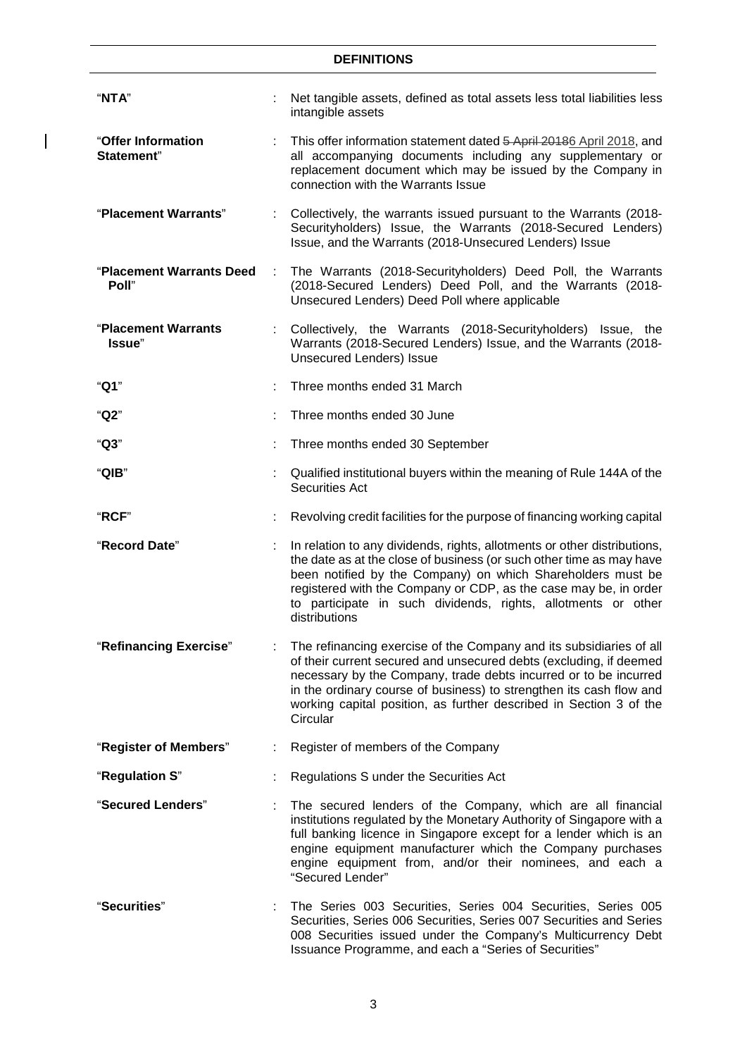$\overline{1}$ 

| "NTA"                             |   | Net tangible assets, defined as total assets less total liabilities less<br>intangible assets                                                                                                                                                                                                                                                                          |  |
|-----------------------------------|---|------------------------------------------------------------------------------------------------------------------------------------------------------------------------------------------------------------------------------------------------------------------------------------------------------------------------------------------------------------------------|--|
| "Offer Information<br>Statement"  |   | This offer information statement dated 5 April 20186 April 2018, and<br>all accompanying documents including any supplementary or<br>replacement document which may be issued by the Company in<br>connection with the Warrants Issue                                                                                                                                  |  |
| "Placement Warrants"              |   | Collectively, the warrants issued pursuant to the Warrants (2018-<br>Securityholders) Issue, the Warrants (2018-Secured Lenders)<br>Issue, and the Warrants (2018-Unsecured Lenders) Issue                                                                                                                                                                             |  |
| "Placement Warrants Deed<br>Poll" | ÷ | The Warrants (2018-Securityholders) Deed Poll, the Warrants<br>(2018-Secured Lenders) Deed Poll, and the Warrants (2018-<br>Unsecured Lenders) Deed Poll where applicable                                                                                                                                                                                              |  |
| "Placement Warrants<br>Issue"     |   | Collectively, the Warrants (2018-Securityholders) Issue, the<br>Warrants (2018-Secured Lenders) Issue, and the Warrants (2018-<br><b>Unsecured Lenders) Issue</b>                                                                                                                                                                                                      |  |
| "Q1"                              |   | Three months ended 31 March                                                                                                                                                                                                                                                                                                                                            |  |
| "Q2"                              |   | Three months ended 30 June                                                                                                                                                                                                                                                                                                                                             |  |
| "Q3"                              |   | Three months ended 30 September                                                                                                                                                                                                                                                                                                                                        |  |
| "QIB"                             |   | Qualified institutional buyers within the meaning of Rule 144A of the<br>Securities Act                                                                                                                                                                                                                                                                                |  |
| "RCF"                             |   | Revolving credit facilities for the purpose of financing working capital                                                                                                                                                                                                                                                                                               |  |
| "Record Date"                     |   | In relation to any dividends, rights, allotments or other distributions,<br>the date as at the close of business (or such other time as may have<br>been notified by the Company) on which Shareholders must be<br>registered with the Company or CDP, as the case may be, in order<br>to participate in such dividends, rights, allotments or other<br>distributions  |  |
| "Refinancing Exercise"            |   | The refinancing exercise of the Company and its subsidiaries of all<br>of their current secured and unsecured debts (excluding, if deemed<br>necessary by the Company, trade debts incurred or to be incurred<br>in the ordinary course of business) to strengthen its cash flow and<br>working capital position, as further described in Section 3 of the<br>Circular |  |
| "Register of Members"             |   | Register of members of the Company                                                                                                                                                                                                                                                                                                                                     |  |
| "Regulation S"                    |   | Regulations S under the Securities Act                                                                                                                                                                                                                                                                                                                                 |  |
| "Secured Lenders"                 |   | The secured lenders of the Company, which are all financial<br>institutions regulated by the Monetary Authority of Singapore with a<br>full banking licence in Singapore except for a lender which is an<br>engine equipment manufacturer which the Company purchases<br>engine equipment from, and/or their nominees, and each a<br>"Secured Lender"                  |  |
| "Securities"                      |   | The Series 003 Securities, Series 004 Securities, Series 005<br>Securities, Series 006 Securities, Series 007 Securities and Series<br>008 Securities issued under the Company's Multicurrency Debt<br>Issuance Programme, and each a "Series of Securities"                                                                                                           |  |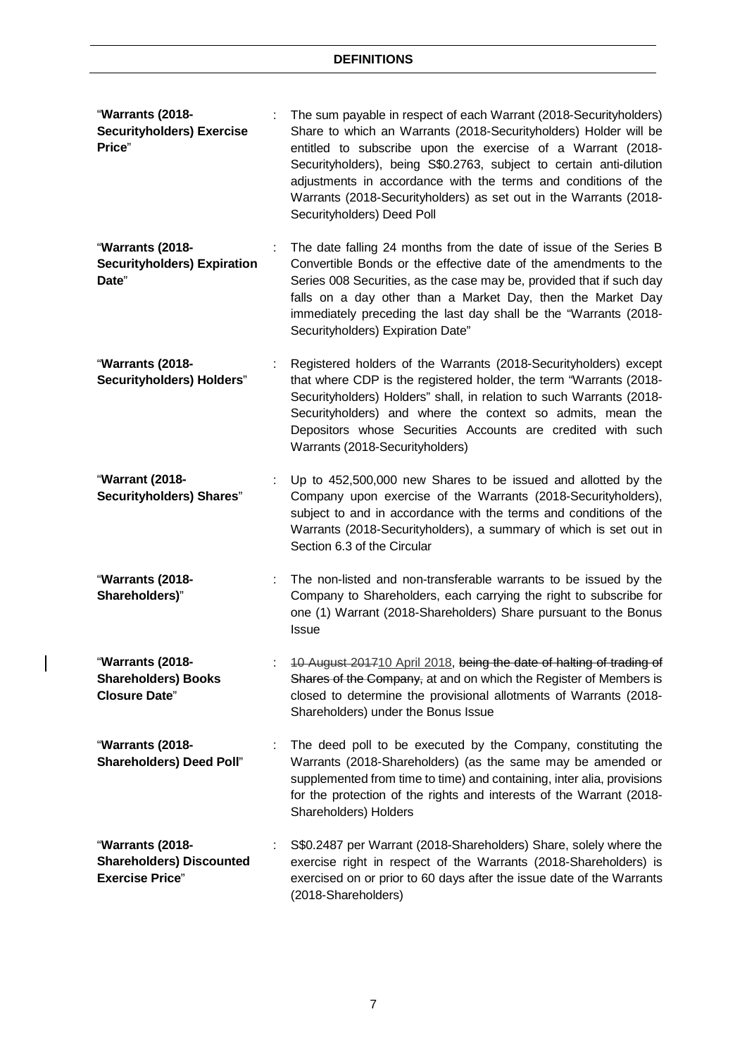- "**Warrants (2018- Securityholders) Exercise Price**" : The sum payable in respect of each Warrant (2018-Securityholders) Share to which an Warrants (2018-Securityholders) Holder will be entitled to subscribe upon the exercise of a Warrant (2018- Securityholders), being S\$0.2763, subject to certain anti-dilution adjustments in accordance with the terms and conditions of the Warrants (2018-Securityholders) as set out in the Warrants (2018- Securityholders) Deed Poll
- "**Warrants (2018- Securityholders) Expiration Date**" The date falling 24 months from the date of issue of the Series B Convertible Bonds or the effective date of the amendments to the Series 008 Securities, as the case may be, provided that if such day falls on a day other than a Market Day, then the Market Day immediately preceding the last day shall be the "Warrants (2018- Securityholders) Expiration Date"
- "**Warrants (2018- Securityholders) Holders**" : Registered holders of the Warrants (2018-Securityholders) except that where CDP is the registered holder, the term "Warrants (2018- Securityholders) Holders" shall, in relation to such Warrants (2018- Securityholders) and where the context so admits, mean the Depositors whose Securities Accounts are credited with such Warrants (2018-Securityholders)
- "**Warrant (2018- Securityholders) Shares**" : Up to 452,500,000 new Shares to be issued and allotted by the Company upon exercise of the Warrants (2018-Securityholders), subject to and in accordance with the terms and conditions of the Warrants (2018-Securityholders), a summary of which is set out in Section 6.3 of the Circular
- "**Warrants (2018- Shareholders)**" : The non-listed and non-transferable warrants to be issued by the Company to Shareholders, each carrying the right to subscribe for one (1) Warrant (2018-Shareholders) Share pursuant to the Bonus Issue
- "**Warrants (2018- Shareholders) Books Closure Date**" : 10 August 201710 April 2018, being the date of halting of trading of Shares of the Company, at and on which the Register of Members is closed to determine the provisional allotments of Warrants (2018- Shareholders) under the Bonus Issue
- "**Warrants (2018- Shareholders) Deed Poll**" The deed poll to be executed by the Company, constituting the Warrants (2018-Shareholders) (as the same may be amended or supplemented from time to time) and containing, inter alia, provisions for the protection of the rights and interests of the Warrant (2018- Shareholders) Holders
- "**Warrants (2018- Shareholders) Discounted Exercise Price**" S\$0.2487 per Warrant (2018-Shareholders) Share, solely where the exercise right in respect of the Warrants (2018-Shareholders) is exercised on or prior to 60 days after the issue date of the Warrants (2018-Shareholders)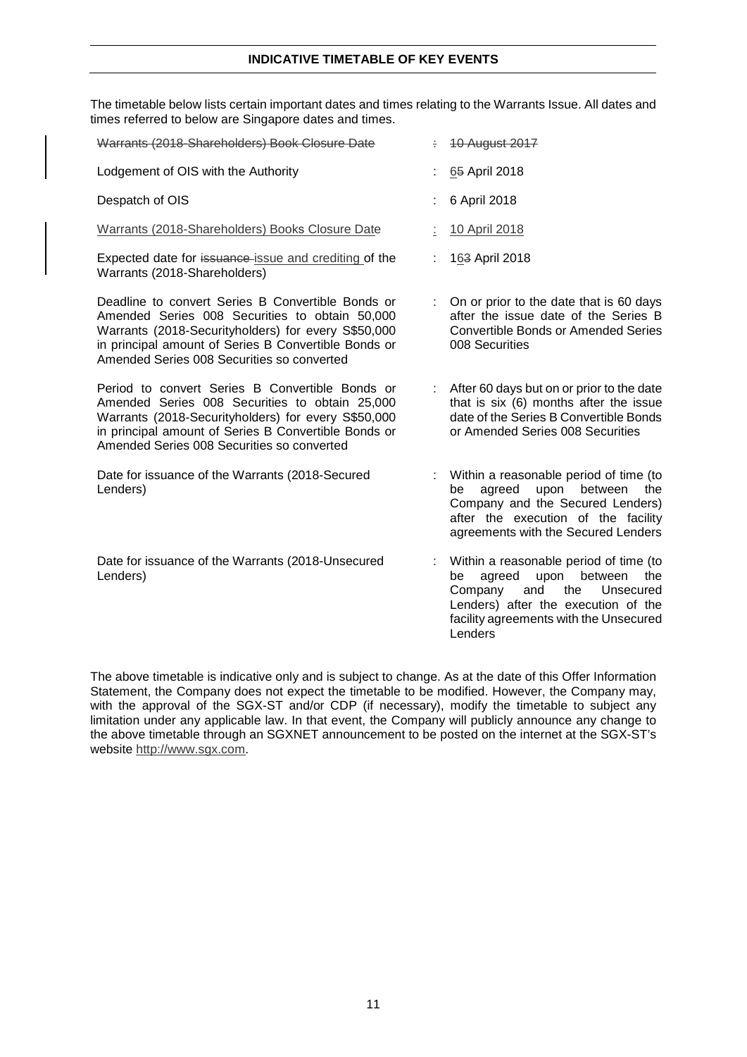## **INDICATIVE TIMETABLE OF KEY EVENTS**

The timetable below lists certain important dates and times relating to the Warrants Issue. All dates and times referred to below are Singapore dates and times.

| Warrants (2018-Shareholders) Book Closure Date                                                                                                                                                                                                                   |   | <b>10 August 2017</b>                                                                                                                                                                                              |
|------------------------------------------------------------------------------------------------------------------------------------------------------------------------------------------------------------------------------------------------------------------|---|--------------------------------------------------------------------------------------------------------------------------------------------------------------------------------------------------------------------|
| Lodgement of OIS with the Authority                                                                                                                                                                                                                              |   | 65 April 2018                                                                                                                                                                                                      |
| Despatch of OIS                                                                                                                                                                                                                                                  |   | 6 April 2018                                                                                                                                                                                                       |
| Warrants (2018-Shareholders) Books Closure Date                                                                                                                                                                                                                  |   | 10 April 2018                                                                                                                                                                                                      |
| Expected date for issuance-issue and crediting of the<br>Warrants (2018-Shareholders)                                                                                                                                                                            |   | 163 April 2018                                                                                                                                                                                                     |
| Deadline to convert Series B Convertible Bonds or<br>Amended Series 008 Securities to obtain 50,000<br>Warrants (2018-Securityholders) for every S\$50,000<br>in principal amount of Series B Convertible Bonds or<br>Amended Series 008 Securities so converted |   | On or prior to the date that is 60 days<br>after the issue date of the Series B<br><b>Convertible Bonds or Amended Series</b><br>008 Securities                                                                    |
| Period to convert Series B Convertible Bonds or<br>Amended Series 008 Securities to obtain 25,000<br>Warrants (2018-Securityholders) for every S\$50,000<br>in principal amount of Series B Convertible Bonds or<br>Amended Series 008 Securities so converted   | ÷ | After 60 days but on or prior to the date<br>that is six (6) months after the issue<br>date of the Series B Convertible Bonds<br>or Amended Series 008 Securities                                                  |
| Date for issuance of the Warrants (2018-Secured<br>Lenders)                                                                                                                                                                                                      |   | Within a reasonable period of time (to<br>agreed<br>upon between<br>be<br>the<br>Company and the Secured Lenders)<br>after the execution of the facility<br>agreements with the Secured Lenders                    |
| Date for issuance of the Warrants (2018-Unsecured<br>Lenders)                                                                                                                                                                                                    |   | Within a reasonable period of time (to<br>agreed<br>upon<br>between<br>the<br>be<br>Company<br>and<br>the<br>Unsecured<br>Lenders) after the execution of the<br>facility agreements with the Unsecured<br>Lenders |

The above timetable is indicative only and is subject to change. As at the date of this Offer Information Statement, the Company does not expect the timetable to be modified. However, the Company may, with the approval of the SGX-ST and/or CDP (if necessary), modify the timetable to subject any limitation under any applicable law. In that event, the Company will publicly announce any change to the above timetable through an SGXNET announcement to be posted on the internet at the SGX-ST's website http://www.sgx.com.